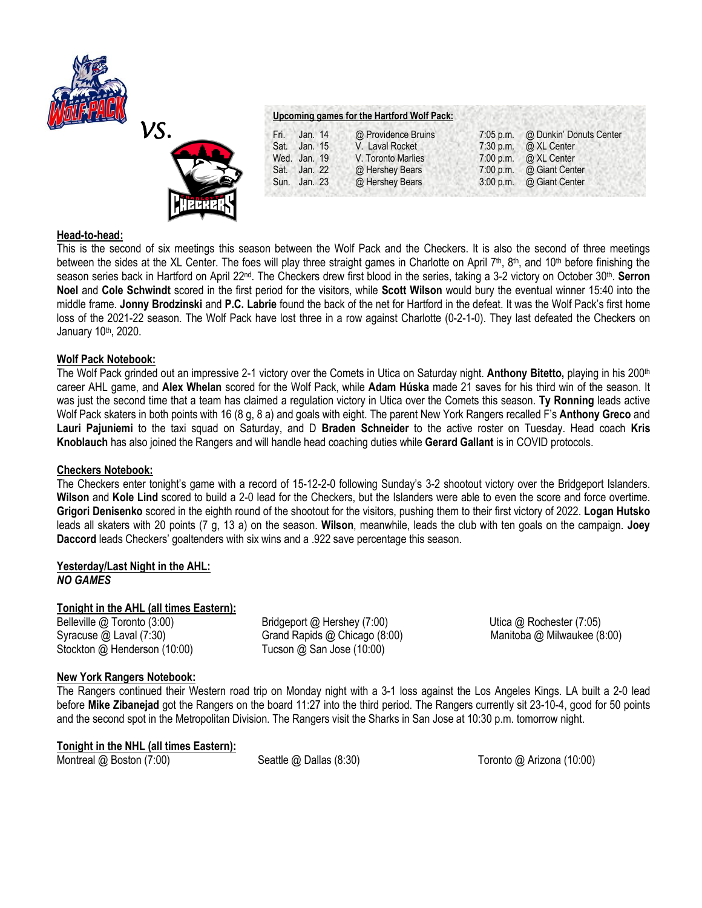



| Upcoming games for the Hartford Wolf Pack: |  |  |  |
|--------------------------------------------|--|--|--|
|                                            |  |  |  |

| Fri. | Jan. 14      | @ Providence Bruins | 7:05 p.m. @ Dunkin' Donuts Center |
|------|--------------|---------------------|-----------------------------------|
|      | Sat. Jan. 15 | V. Laval Rocket     | 7:30 p.m. $\omega$ XL Center      |
|      | Wed. Jan. 19 | V. Toronto Marlies  | 7:00 p.m. $\omega$ XL Center      |
|      | Sat. Jan. 22 | @ Hershey Bears     | 7:00 p.m. @ Giant Center          |
|      | Sun. Jan. 23 | @ Hershey Bears     | 3:00 p.m. @ Giant Center          |
|      |              |                     |                                   |

# **Head-to-head:**

This is the second of six meetings this season between the Wolf Pack and the Checkers. It is also the second of three meetings between the sides at the XL Center. The foes will play three straight games in Charlotte on April 7<sup>th</sup>, 8<sup>th</sup>, and 10<sup>th</sup> before finishing the season series back in Hartford on April 22<sup>nd</sup>. The Checkers drew first blood in the series, taking a 3-2 victory on October 30<sup>th</sup>. Serron **Noel** and **Cole Schwindt** scored in the first period for the visitors, while **Scott Wilson** would bury the eventual winner 15:40 into the middle frame. **Jonny Brodzinski** and **P.C. Labrie** found the back of the net for Hartford in the defeat. It was the Wolf Pack's first home loss of the 2021-22 season. The Wolf Pack have lost three in a row against Charlotte (0-2-1-0). They last defeated the Checkers on January 10<sup>th</sup>, 2020.

# **Wolf Pack Notebook:**

The Wolf Pack grinded out an impressive 2-1 victory over the Comets in Utica on Saturday night. **Anthony Bitetto,** playing in his 200th career AHL game, and **Alex Whelan** scored for the Wolf Pack, while **Adam Húska** made 21 saves for his third win of the season. It was just the second time that a team has claimed a regulation victory in Utica over the Comets this season. **Ty Ronning** leads active Wolf Pack skaters in both points with 16 (8 g, 8 a) and goals with eight. The parent New York Rangers recalled F's **Anthony Greco** and **Lauri Pajuniemi** to the taxi squad on Saturday, and D **Braden Schneider** to the active roster on Tuesday. Head coach **Kris Knoblauch** has also joined the Rangers and will handle head coaching duties while **Gerard Gallant** is in COVID protocols.

### **Checkers Notebook:**

The Checkers enter tonight's game with a record of 15-12-2-0 following Sunday's 3-2 shootout victory over the Bridgeport Islanders. **Wilson** and **Kole Lind** scored to build a 2-0 lead for the Checkers, but the Islanders were able to even the score and force overtime. **Grigori Denisenko** scored in the eighth round of the shootout for the visitors, pushing them to their first victory of 2022. **Logan Hutsko**  leads all skaters with 20 points (7 g, 13 a) on the season. **Wilson**, meanwhile, leads the club with ten goals on the campaign. **Joey Daccord** leads Checkers' goaltenders with six wins and a .922 save percentage this season.

### **Yesterday/Last Night in the AHL:** *NO GAMES*

### **Tonight in the AHL (all times Eastern):**

Belleville @ Toronto (3:00) Bridgeport @ Hershey (7:00) Utica @ Rochester (7:05) Syracuse @ Laval (7:30) Grand Rapids @ Chicago (8:00) Manitoba @ Milwaukee (8:00) Stockton @ Henderson (10:00) Tucson @ San Jose (10:00)

# **New York Rangers Notebook:**

The Rangers continued their Western road trip on Monday night with a 3-1 loss against the Los Angeles Kings. LA built a 2-0 lead before **Mike Zibanejad** got the Rangers on the board 11:27 into the third period. The Rangers currently sit 23-10-4, good for 50 points and the second spot in the Metropolitan Division. The Rangers visit the Sharks in San Jose at 10:30 p.m. tomorrow night.

**Tonight in the NHL (all times Eastern):** Montreal @ Boston (7:00) Seattle @ Dallas (8:30) Toronto @ Arizona (10:00)